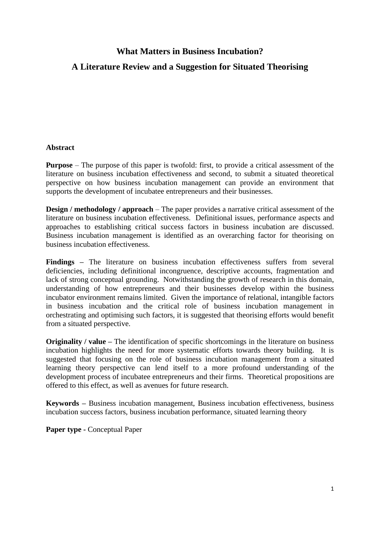# **What Matters in Business Incubation?**

# **A Literature Review and a Suggestion for Situated Theorising**

# **Abstract**

**Purpose** – The purpose of this paper is twofold: first, to provide a critical assessment of the literature on business incubation effectiveness and second, to submit a situated theoretical perspective on how business incubation management can provide an environment that supports the development of incubatee entrepreneurs and their businesses.

**Design / methodology / approach** – The paper provides a narrative critical assessment of the literature on business incubation effectiveness. Definitional issues, performance aspects and approaches to establishing critical success factors in business incubation are discussed. Business incubation management is identified as an overarching factor for theorising on business incubation effectiveness.

**Findings –** The literature on business incubation effectiveness suffers from several deficiencies, including definitional incongruence, descriptive accounts, fragmentation and lack of strong conceptual grounding. Notwithstanding the growth of research in this domain, understanding of how entrepreneurs and their businesses develop within the business incubator environment remains limited. Given the importance of relational, intangible factors in business incubation and the critical role of business incubation management in orchestrating and optimising such factors, it is suggested that theorising efforts would benefit from a situated perspective.

**Originality / value –** The identification of specific shortcomings in the literature on business incubation highlights the need for more systematic efforts towards theory building. It is suggested that focusing on the role of business incubation management from a situated learning theory perspective can lend itself to a more profound understanding of the development process of incubatee entrepreneurs and their firms. Theoretical propositions are offered to this effect, as well as avenues for future research.

**Keywords –** Business incubation management, Business incubation effectiveness, business incubation success factors, business incubation performance, situated learning theory

**Paper type -** Conceptual Paper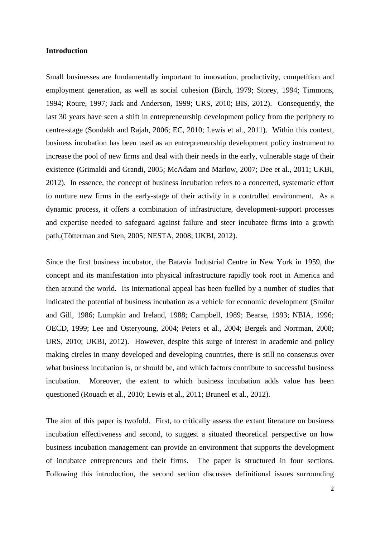# **Introduction**

Small businesses are fundamentally important to innovation, productivity, competition and employment generation, as well as social cohesion (Birch, 1979; Storey, 1994; Timmons, 1994; Roure, 1997; Jack and Anderson, 1999; URS, 2010; BIS, 2012). Consequently, the last 30 years have seen a shift in entrepreneurship development policy from the periphery to centre-stage (Sondakh and Rajah, 2006; EC, 2010; Lewis et al., 2011). Within this context, business incubation has been used as an entrepreneurship development policy instrument to increase the pool of new firms and deal with their needs in the early, vulnerable stage of their existence (Grimaldi and Grandi, 2005; McAdam and Marlow, 2007; Dee et al., 2011; UKBI, 2012). In essence, the concept of business incubation refers to a concerted, systematic effort to nurture new firms in the early-stage of their activity in a controlled environment. As a dynamic process, it offers a combination of infrastructure, development-support processes and expertise needed to safeguard against failure and steer incubatee firms into a growth path.(Tötterman and Sten, 2005; NESTA, 2008; UKBI, 2012).

Since the first business incubator, the Batavia Industrial Centre in New York in 1959, the concept and its manifestation into physical infrastructure rapidly took root in America and then around the world. Its international appeal has been fuelled by a number of studies that indicated the potential of business incubation as a vehicle for economic development (Smilor and Gill, 1986; Lumpkin and Ireland, 1988; Campbell, 1989; Bearse, 1993; NBIA, 1996; OECD, 1999; Lee and Osteryoung, 2004; Peters et al., 2004; Bergek and Norrman, 2008; URS, 2010; UKBI, 2012). However, despite this surge of interest in academic and policy making circles in many developed and developing countries, there is still no consensus over what business incubation is, or should be, and which factors contribute to successful business incubation. Moreover, the extent to which business incubation adds value has been questioned (Rouach et al., 2010; Lewis et al., 2011; Bruneel et al., 2012).

The aim of this paper is twofold. First, to critically assess the extant literature on business incubation effectiveness and second, to suggest a situated theoretical perspective on how business incubation management can provide an environment that supports the development of incubatee entrepreneurs and their firms. The paper is structured in four sections. Following this introduction, the second section discusses definitional issues surrounding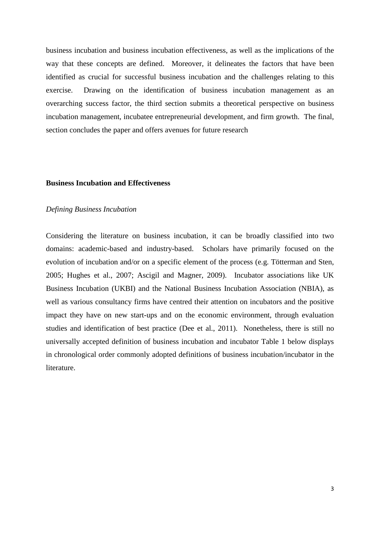business incubation and business incubation effectiveness, as well as the implications of the way that these concepts are defined. Moreover, it delineates the factors that have been identified as crucial for successful business incubation and the challenges relating to this exercise. Drawing on the identification of business incubation management as an overarching success factor, the third section submits a theoretical perspective on business incubation management, incubatee entrepreneurial development, and firm growth. The final, section concludes the paper and offers avenues for future research

### **Business Incubation and Effectiveness**

#### *Defining Business Incubation*

Considering the literature on business incubation, it can be broadly classified into two domains: academic-based and industry-based. Scholars have primarily focused on the evolution of incubation and/or on a specific element of the process (e.g. Tötterman and Sten, 2005; Hughes et al., 2007; Ascigil and Magner, 2009). Incubator associations like UK Business Incubation (UKBI) and the National Business Incubation Association (NBIA), as well as various consultancy firms have centred their attention on incubators and the positive impact they have on new start-ups and on the economic environment, through evaluation studies and identification of best practice (Dee et al., 2011). Nonetheless, there is still no universally accepted definition of business incubation and incubator Table 1 below displays in chronological order commonly adopted definitions of business incubation/incubator in the literature.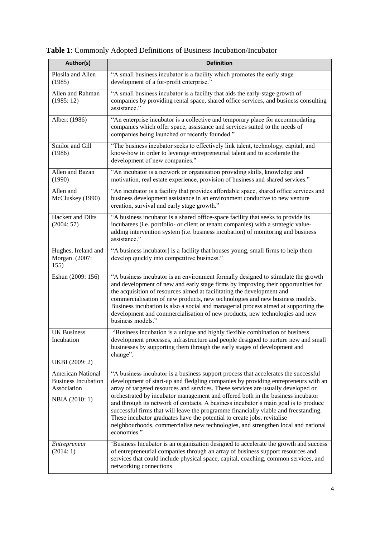| Author(s)                                                                               | <b>Definition</b>                                                                                                                                                                                                                                                                                                                                                                                                                                                                                                                                                                                                                                                                                              |
|-----------------------------------------------------------------------------------------|----------------------------------------------------------------------------------------------------------------------------------------------------------------------------------------------------------------------------------------------------------------------------------------------------------------------------------------------------------------------------------------------------------------------------------------------------------------------------------------------------------------------------------------------------------------------------------------------------------------------------------------------------------------------------------------------------------------|
| Plosila and Allen<br>(1985)                                                             | "A small business incubator is a facility which promotes the early stage<br>development of a for-profit enterprise."                                                                                                                                                                                                                                                                                                                                                                                                                                                                                                                                                                                           |
| Allen and Rahman<br>(1985:12)                                                           | "A small business incubator is a facility that aids the early-stage growth of<br>companies by providing rental space, shared office services, and business consulting<br>assistance."                                                                                                                                                                                                                                                                                                                                                                                                                                                                                                                          |
| Albert (1986)                                                                           | "An enterprise incubator is a collective and temporary place for accommodating<br>companies which offer space, assistance and services suited to the needs of<br>companies being launched or recently founded."                                                                                                                                                                                                                                                                                                                                                                                                                                                                                                |
| Smilor and Gill<br>(1986)                                                               | "The business incubator seeks to effectively link talent, technology, capital, and<br>know-how in order to leverage entrepreneurial talent and to accelerate the<br>development of new companies."                                                                                                                                                                                                                                                                                                                                                                                                                                                                                                             |
| Allen and Bazan<br>(1990)                                                               | "An incubator is a network or organisation providing skills, knowledge and<br>motivation, real estate experience, provision of business and shared services."                                                                                                                                                                                                                                                                                                                                                                                                                                                                                                                                                  |
| Allen and<br>McCluskey (1990)                                                           | "An incubator is a facility that provides affordable space, shared office services and<br>business development assistance in an environment conducive to new venture<br>creation, survival and early stage growth."                                                                                                                                                                                                                                                                                                                                                                                                                                                                                            |
| <b>Hackett and Dilts</b><br>(2004:57)                                                   | "A business incubator is a shared office-space facility that seeks to provide its<br>incubatees (i.e. portfolio- or client or tenant companies) with a strategic value-<br>adding intervention system (i.e. business incubation) of monitoring and business<br>assistance."                                                                                                                                                                                                                                                                                                                                                                                                                                    |
| Hughes, Ireland and<br>Morgan (2007:<br>155)                                            | "A business incubator] is a facility that houses young, small firms to help them<br>develop quickly into competitive business."                                                                                                                                                                                                                                                                                                                                                                                                                                                                                                                                                                                |
| Eshun (2009: 156)                                                                       | "A business incubator is an environment formally designed to stimulate the growth<br>and development of new and early stage firms by improving their opportunities for<br>the acquisition of resources aimed at facilitating the development and<br>commercialisation of new products, new technologies and new business models.<br>Business incubation is also a social and managerial process aimed at supporting the<br>development and commercialisation of new products, new technologies and new<br>business models."                                                                                                                                                                                    |
| <b>UK Business</b><br>Incubation<br>UKBI (2009: 2)                                      | "Business incubation is a unique and highly flexible combination of business<br>development processes, infrastructure and people designed to nurture new and small<br>businesses by supporting them through the early stages of development and<br>change".                                                                                                                                                                                                                                                                                                                                                                                                                                                    |
| <b>American National</b><br><b>Business Incubation</b><br>Association<br>NBIA (2010: 1) | "A business incubator is a business support process that accelerates the successful<br>development of start-up and fledgling companies by providing entrepreneurs with an<br>array of targeted resources and services. These services are usually developed or<br>orchestrated by incubator management and offered both in the business incubator<br>and through its network of contacts. A business incubator's main goal is to produce<br>successful firms that will leave the programme financially viable and freestanding.<br>These incubator graduates have the potential to create jobs, revitalise<br>neighbourhoods, commercialise new technologies, and strengthen local and national<br>economies." |
| Entrepreneur<br>(2014:1)                                                                | 'Business Incubator is an organization designed to accelerate the growth and success<br>of entrepreneurial companies through an array of business support resources and<br>services that could include physical space, capital, coaching, common services, and<br>networking connections                                                                                                                                                                                                                                                                                                                                                                                                                       |

# **Table 1**: Commonly Adopted Definitions of Business Incubation/Incubator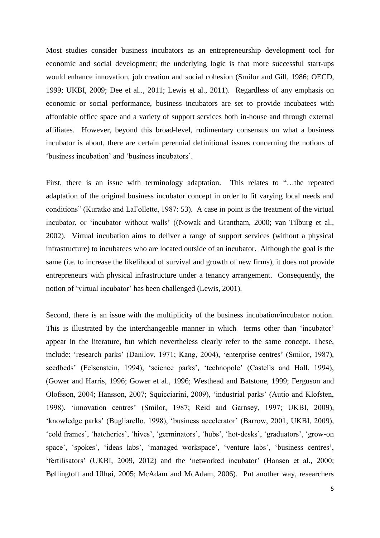Most studies consider business incubators as an entrepreneurship development tool for economic and social development; the underlying logic is that more successful start-ups would enhance innovation, job creation and social cohesion (Smilor and Gill, 1986; OECD, 1999; UKBI, 2009; Dee et al.*.,* 2011; Lewis et al., 2011). Regardless of any emphasis on economic or social performance, business incubators are set to provide incubatees with affordable office space and a variety of support services both in-house and through external affiliates. However, beyond this broad-level, rudimentary consensus on what a business incubator is about, there are certain perennial definitional issues concerning the notions of 'business incubation' and 'business incubators'.

First, there is an issue with terminology adaptation. This relates to "…the repeated adaptation of the original business incubator concept in order to fit varying local needs and conditions" (Kuratko and LaFollette, 1987: 53). A case in point is the treatment of the virtual incubator, or 'incubator without walls' ((Nowak and Grantham, 2000; van Tilburg et al.*,* 2002). Virtual incubation aims to deliver a range of support services (without a physical infrastructure) to incubatees who are located outside of an incubator. Although the goal is the same (i.e. to increase the likelihood of survival and growth of new firms), it does not provide entrepreneurs with physical infrastructure under a tenancy arrangement. Consequently, the notion of 'virtual incubator' has been challenged (Lewis, 2001).

Second, there is an issue with the multiplicity of the business incubation/incubator notion. This is illustrated by the interchangeable manner in which terms other than 'incubator' appear in the literature, but which nevertheless clearly refer to the same concept. These, include: 'research parks' (Danilov, 1971; Kang, 2004), 'enterprise centres' (Smilor, 1987), seedbeds' (Felsenstein, 1994), 'science parks', 'technopole' (Castells and Hall, 1994), (Gower and Harris, 1996; Gower et al., 1996; Westhead and Batstone, 1999; Ferguson and Olofsson, 2004; Hansson, 2007; Squicciarini, 2009), 'industrial parks' (Autio and Klofsten, 1998), 'innovation centres' (Smilor, 1987; Reid and Garnsey, 1997; UKBI, 2009), 'knowledge parks' (Bugliarello, 1998), 'business accelerator' (Barrow, 2001; UKBI, 2009), 'cold frames', 'hatcheries', 'hives', 'germinators', 'hubs', 'hot-desks', 'graduators', 'grow-on space', 'spokes', 'ideas labs', 'managed workspace', 'venture labs', 'business centres', 'fertilisators' (UKBI, 2009, 2012) and the 'networked incubator' (Hansen et al., 2000; Bøllingtoft and Ulhøi, 2005; McAdam and McAdam, 2006). Put another way, researchers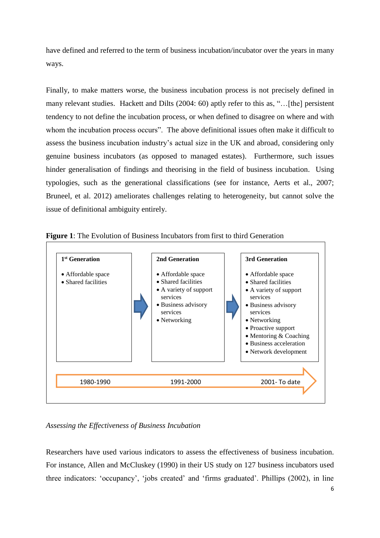have defined and referred to the term of business incubation/incubator over the years in many ways.

Finally, to make matters worse, the business incubation process is not precisely defined in many relevant studies. Hackett and Dilts (2004: 60) aptly refer to this as, "…[the] persistent tendency to not define the incubation process, or when defined to disagree on where and with whom the incubation process occurs". The above definitional issues often make it difficult to assess the business incubation industry's actual size in the UK and abroad, considering only genuine business incubators (as opposed to managed estates). Furthermore, such issues hinder generalisation of findings and theorising in the field of business incubation. Using typologies, such as the generational classifications (see for instance, Aerts et al., 2007; Bruneel, et al. 2012) ameliorates challenges relating to heterogeneity, but cannot solve the issue of definitional ambiguity entirely.



**Figure 1**: The Evolution of Business Incubators from first to third Generation

# *Assessing the Effectiveness of Business Incubation*

Researchers have used various indicators to assess the effectiveness of business incubation. For instance, Allen and McCluskey (1990) in their US study on 127 business incubators used three indicators: 'occupancy', 'jobs created' and 'firms graduated'. Phillips (2002), in line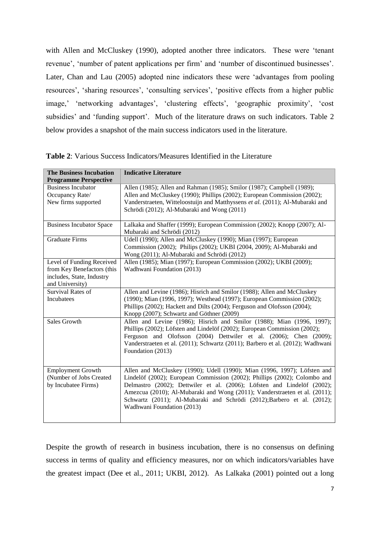with Allen and McCluskey (1990), adopted another three indicators. These were 'tenant revenue', 'number of patent applications per firm' and 'number of discontinued businesses'. Later, Chan and Lau (2005) adopted nine indicators these were 'advantages from pooling resources', 'sharing resources', 'consulting services', 'positive effects from a higher public image,' 'networking advantages', 'clustering effects', 'geographic proximity', 'cost subsidies' and 'funding support'. Much of the literature draws on such indicators. Table 2 below provides a snapshot of the main success indicators used in the literature.

| <b>The Business Incubation</b>  | <b>Indicative Literature</b>                                                   |
|---------------------------------|--------------------------------------------------------------------------------|
| <b>Programme Perspective</b>    |                                                                                |
| <b>Business Incubator</b>       | Allen (1985); Allen and Rahman (1985); Smilor (1987); Campbell (1989);         |
| Occupancy Rate/                 | Allen and McCluskey (1990); Phillips (2002); European Commission (2002);       |
| New firms supported             | Vanderstraeten, Witteloostuijn and Matthyssens et al. (2011); Al-Mubaraki and  |
|                                 | Schrödi (2012); Al-Mubaraki and Wong (2011)                                    |
| <b>Business Incubator Space</b> | Lalkaka and Shaffer (1999); European Commission (2002); Knopp (2007); Al-      |
|                                 | Mubaraki and Schrödi (2012)                                                    |
| <b>Graduate Firms</b>           | Udell (1990); Allen and McCluskey (1990); Mian (1997); European                |
|                                 | Commission (2002); Philips (2002); UKBI (2004, 2009); Al-Mubaraki and          |
|                                 | Wong (2011); Al-Mubaraki and Schrödi (2012)                                    |
| Level of Funding Received       | Allen (1985); Mian (1997); European Commission (2002); UKBI (2009);            |
| from Key Benefactors (this      | Wadhwani Foundation (2013)                                                     |
| includes, State, Industry       |                                                                                |
| and University)                 |                                                                                |
| Survival Rates of               | Allen and Levine (1986); Hisrich and Smilor (1988); Allen and McCluskey        |
| Incubatees                      | (1990); Mian (1996, 1997); Westhead (1997); European Commission (2002);        |
|                                 | Phillips (2002); Hackett and Dilts (2004); Ferguson and Olofsson (2004);       |
|                                 | Knopp (2007); Schwartz and Göthner (2009)                                      |
| Sales Growth                    | Allen and Levine (1986); Hisrich and Smilor (1988); Mian (1996, 1997);         |
|                                 | Phillips (2002); Löfsten and Lindelöf (2002); European Commission (2002);      |
|                                 | Ferguson and Olofsson (2004) Dettwiler et al. (2006); Chen (2009);             |
|                                 | Vanderstraeten et al. (2011); Schwartz (2011); Barbero et al. (2012); Wadhwani |
|                                 | Foundation (2013)                                                              |
|                                 |                                                                                |
| <b>Employment Growth</b>        | Allen and McCluskey (1990); Udell (1990); Mian (1996, 1997); Löfsten and       |
| (Number of Jobs Created         | Lindelöf (2002); European Commission (2002); Phillips (2002); Colombo and      |
| by Incubatee Firms)             | Delmastro (2002); Dettwiler et al. (2006); Löfsten and Lindelöf (2002);        |
|                                 | Amezcua (2010); Al-Mubaraki and Wong (2011); Vanderstraeten et al. (2011);     |
|                                 | Schwartz (2011); Al-Mubaraki and Schrödi (2012); Barbero et al. (2012);        |
|                                 | Wadhwani Foundation (2013)                                                     |
|                                 |                                                                                |
|                                 |                                                                                |

**Table 2**: Various Success Indicators/Measures Identified in the Literature

Despite the growth of research in business incubation, there is no consensus on defining success in terms of quality and efficiency measures, nor on which indicators/variables have the greatest impact (Dee et al., 2011; UKBI, 2012). As Lalkaka (2001) pointed out a long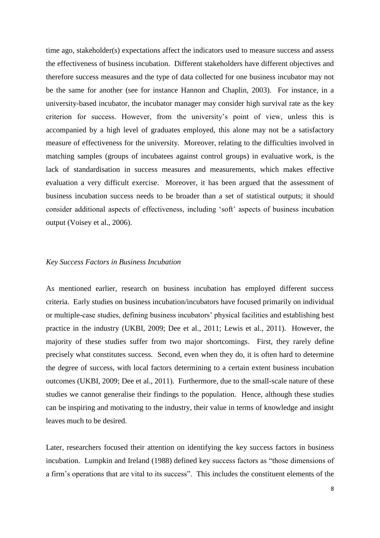time ago, stakeholder(s) expectations affect the indicators used to measure success and assess the effectiveness of business incubation. Different stakeholders have different objectives and therefore success measures and the type of data collected for one business incubator may not be the same for another (see for instance Hannon and Chaplin, 2003). For instance, in a university-based incubator, the incubator manager may consider high survival rate as the key criterion for success. However, from the university's point of view, unless this is accompanied by a high level of graduates employed, this alone may not be a satisfactory measure of effectiveness for the university. Moreover, relating to the difficulties involved in matching samples (groups of incubatees against control groups) in evaluative work, is the lack of standardisation in success measures and measurements, which makes effective evaluation a very difficult exercise. Moreover, it has been argued that the assessment of business incubation success needs to be broader than a set of statistical outputs; it should consider additional aspects of effectiveness, including 'soft' aspects of business incubation output (Voisey et al., 2006).

# *Key Success Factors in Business Incubation*

As mentioned earlier, research on business incubation has employed different success criteria. Early studies on business incubation/incubators have focused primarily on individual or multiple-case studies, defining business incubators' physical facilities and establishing best practice in the industry (UKBI, 2009; Dee et al., 2011; Lewis et al., 2011). However, the majority of these studies suffer from two major shortcomings. First, they rarely define precisely what constitutes success. Second, even when they do, it is often hard to determine the degree of success, with local factors determining to a certain extent business incubation outcomes (UKBI, 2009; Dee et al., 2011). Furthermore, due to the small-scale nature of these studies we cannot generalise their findings to the population. Hence, although these studies can be inspiring and motivating to the industry, their value in terms of knowledge and insight leaves much to be desired.

Later, researchers focused their attention on identifying the key success factors in business incubation. Lumpkin and Ireland (1988) defined key success factors as "those dimensions of a firm's operations that are vital to its success". This includes the constituent elements of the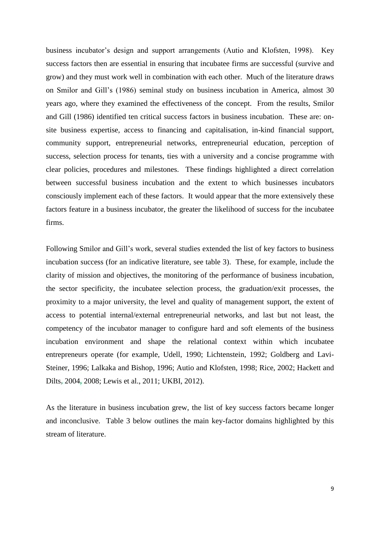business incubator's design and support arrangements (Autio and Klofsten, 1998). Key success factors then are essential in ensuring that incubatee firms are successful (survive and grow) and they must work well in combination with each other. Much of the literature draws on Smilor and Gill's (1986) seminal study on business incubation in America, almost 30 years ago, where they examined the effectiveness of the concept. From the results, Smilor and Gill (1986) identified ten critical success factors in business incubation. These are: onsite business expertise, access to financing and capitalisation, in-kind financial support, community support, entrepreneurial networks, entrepreneurial education, perception of success, selection process for tenants, ties with a university and a concise programme with clear policies, procedures and milestones. These findings highlighted a direct correlation between successful business incubation and the extent to which businesses incubators consciously implement each of these factors. It would appear that the more extensively these factors feature in a business incubator, the greater the likelihood of success for the incubatee firms.

Following Smilor and Gill's work, several studies extended the list of key factors to business incubation success (for an indicative literature, see table 3). These, for example, include the clarity of mission and objectives, the monitoring of the performance of business incubation, the sector specificity, the incubatee selection process, the graduation/exit processes, the proximity to a major university, the level and quality of management support, the extent of access to potential internal/external entrepreneurial networks, and last but not least, the competency of the incubator manager to configure hard and soft elements of the business incubation environment and shape the relational context within which incubatee entrepreneurs operate (for example, Udell, 1990; Lichtenstein, 1992; Goldberg and Lavi-Steiner, 1996; Lalkaka and Bishop, 1996; Autio and Klofsten, 1998; Rice, 2002; Hackett and Dilts**,** 2004**,** 2008; Lewis et al., 2011; UKBI, 2012).

As the literature in business incubation grew, the list of key success factors became longer and inconclusive. Table 3 below outlines the main key-factor domains highlighted by this stream of literature.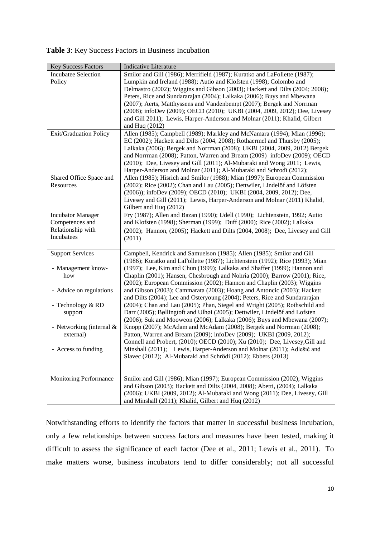# **Table 3**: Key Success Factors in Business Incubation

| <b>Key Success Factors</b>    | Indicative Literature                                                                                                                                 |
|-------------------------------|-------------------------------------------------------------------------------------------------------------------------------------------------------|
| <b>Incubatee Selection</b>    | Smilor and Gill (1986); Merrifield (1987); Kuratko and LaFollette (1987);                                                                             |
| Policy                        | Lumpkin and Ireland (1988); Autio and Klofsten (1998); Colombo and                                                                                    |
|                               | Delmastro (2002); Wiggins and Gibson (2003); Hackett and Dilts (2004; 2008);                                                                          |
|                               | Peters, Rice and Sundararajan (2004); Lalkaka (2006); Buys and Mbewana                                                                                |
|                               | (2007); Aerts, Matthyssens and Vandenbempt (2007); Bergek and Norrman                                                                                 |
|                               | (2008); infoDev (2009); OECD (2010); UKBI (2004, 2009, 2012); Dee, Livesey                                                                            |
|                               | and Gill 2011); Lewis, Harper-Anderson and Molnar (2011); Khalid, Gilbert                                                                             |
|                               | and Huq $(2012)$                                                                                                                                      |
| Exit/Graduation Policy        | Allen (1985); Campbell (1989); Markley and McNamara (1994); Mian (1996);<br>EC (2002); Hackett and Dilts (2004, 2008); Rothaermel and Thursby (2005); |
|                               | Lalkaka (2006); Bergek and Norrman (2008); UKBI (2004, 2009, 2012) Bergek                                                                             |
|                               | and Norrman (2008); Patton, Warren and Bream (2009) infoDev (2009); OECD                                                                              |
|                               | (2010); Dee, Livesey and Gill (2011); Al-Mubaraki and Wong 2011; Lewis,                                                                               |
|                               | Harper-Anderson and Molnar (2011); Al-Mubaraki and Schrodï (2012);                                                                                    |
| Shared Office Space and       | Allen (1985); Hisrich and Smilor (1988); Mian (1997); European Commission                                                                             |
| Resources                     | (2002); Rice (2002); Chan and Lau (2005); Dettwiler, Lindelöf and Löfsten                                                                             |
|                               | (2006)); infoDev (2009); OECD (2010); UKBI (2004, 2009, 2012); Dee,                                                                                   |
|                               | Livesey and Gill (2011); Lewis, Harper-Anderson and Molnar (2011) Khalid,                                                                             |
|                               | Gilbert and Huq (2012)                                                                                                                                |
| <b>Incubator Manager</b>      | Fry (1987); Allen and Bazan (1990); Udell (1990); Lichtenstein, 1992; Autio                                                                           |
| Competences and               | and Klofsten (1998); Sherman (1999); Duff (2000); Rice (2002); Lalkaka                                                                                |
| Relationship with             | (2002); Hannon, (2005); Hackett and Dilts (2004, 2008); Dee, Livesey and Gill                                                                         |
| Incubatees                    | (2011)                                                                                                                                                |
|                               |                                                                                                                                                       |
| <b>Support Services</b>       | Campbell, Kendrick and Samuelson (1985); Allen (1985); Smilor and Gill                                                                                |
|                               | (1986); Kuratko and LaFollette (1987); Lichtenstein (1992); Rice (1993); Mian                                                                         |
| - Management know-            | (1997); Lee, Kim and Chun (1999); Lalkaka and Shaffer (1999); Hannon and                                                                              |
| how                           | Chaplin (2001); Hansen, Chesbrough and Nohria (2000); Barrow (2001); Rice,                                                                            |
|                               | (2002); European Commission (2002); Hannon and Chaplin (2003); Wiggins                                                                                |
| - Advice on regulations       | and Gibson (2003); Cammarata (2003); Hoang and Antoncic (2003); Hackett<br>and Dilts (2004); Lee and Osteryoung (2004); Peters, Rice and Sundararajan |
| - Technology & RD             | (2004); Chan and Lau (2005); Phan, Siegel and Wright (2005); Rothschild and                                                                           |
| support                       | Darr (2005); Bøllingtoft and Ulhøi (2005); Dettwiler, Lindelöf and Lofsten                                                                            |
|                               | (2006); Suk and Mooweon (2006); Lalkaka (2006); Buys and Mbewana (2007);                                                                              |
| - Networking (internal &      | Knopp (2007); McAdam and McAdam (2008); Bergek and Norrman (2008);                                                                                    |
| external)                     | Patton, Warren and Bream (2009); infoDev (2009); UKBI (2009, 2012);                                                                                   |
|                               | Connell and Probert, (2010); OECD (2010); Xu (2010); Dee, Livesey, Gill and                                                                           |
| - Access to funding           | Minshall (2011); Lewis, Harper-Anderson and Molnar (2011); Adlešič and                                                                                |
|                               | Slavec (2012); Al-Mubaraki and Schrödi (2012); Ebbers (2013)                                                                                          |
|                               |                                                                                                                                                       |
|                               |                                                                                                                                                       |
| <b>Monitoring Performance</b> | Smilor and Gill (1986); Mian (1997); European Commission (2002); Wiggins                                                                              |
|                               | and Gibson (2003); Hackett and Dilts (2004, 2008); Abetti, (2004); Lalkaka                                                                            |
|                               | (2006); UKBI (2009, 2012); Al-Mubaraki and Wong (2011); Dee, Livesey, Gill                                                                            |
|                               | and Minshall (2011); Khalid, Gilbert and Huq (2012)                                                                                                   |

Notwithstanding efforts to identify the factors that matter in successful business incubation, only a few relationships between success factors and measures have been tested, making it difficult to assess the significance of each factor (Dee et al., 2011; Lewis et al., 2011). To make matters worse, business incubators tend to differ considerably; not all successful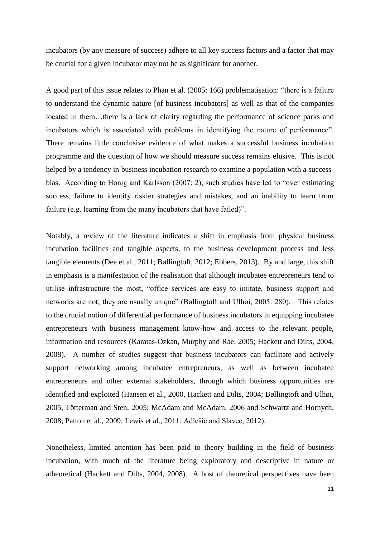incubators (by any measure of success) adhere to all key success factors and a factor that may be crucial for a given incubator may not be as significant for another.

A good part of this issue relates to Phan et al. (2005: 166) problematisation: "there is a failure to understand the dynamic nature [of business incubators] as well as that of the companies located in them…there is a lack of clarity regarding the performance of science parks and incubators which is associated with problems in identifying the nature of performance". There remains little conclusive evidence of what makes a successful business incubation programme and the question of how we should measure success remains elusive. This is not helped by a tendency in business incubation research to examine a population with a successbias. According to Honig and Karlsson (2007: 2), such studies have led to "over estimating success, failure to identify riskier strategies and mistakes, and an inability to learn from failure (e.g. learning from the many incubators that have failed)".

Notably, a review of the literature indicates a shift in emphasis from physical business incubation facilities and tangible aspects, to the business development process and less tangible elements (Dee et al., 2011; Bøllingtoft, 2012; Ebbers, 2013). By and large, this shift in emphasis is a manifestation of the realisation that although incubatee entrepreneurs tend to utilise infrastructure the most, "office services are easy to imitate, business support and networks are not; they are usually unique" (Bøllingtoft and Ulhøi, 2005: 280). This relates to the crucial notion of differential performance of business incubators in equipping incubatee entrepreneurs with business management know-how and access to the relevant people, information and resources (Karatas-Ozkan, Murphy and Rae, 2005; Hackett and Dilts, 2004, 2008). A number of studies suggest that business incubators can facilitate and actively support networking among incubatee entrepreneurs, as well as between incubatee entrepreneurs and other external stakeholders, through which business opportunities are identified and exploited (Hansen et al., 2000, Hackett and Dilts, 2004; Bøllingtoft and Ulhøi, 2005, Tötterman and Sten, 2005; McAdam and McAdam, 2006 and Schwartz and Hornych, 2008; Patton et al., 2009; Lewis et al., 2011; Adlešič and Slavec, 2012).

Nonetheless, limited attention has been paid to theory building in the field of business incubation, with much of the literature being exploratory and descriptive in nature or atheoretical (Hackett and Dilts, 2004, 2008). A host of theoretical perspectives have been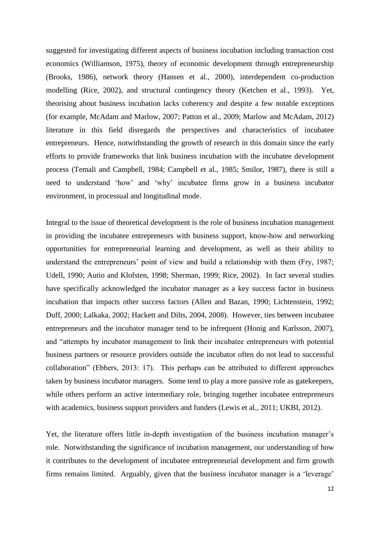suggested for investigating different aspects of business incubation including transaction cost economics (Williamson, 1975), theory of economic development through entrepreneurship (Brooks, 1986), network theory (Hansen et al., 2000), interdependent co-production modelling (Rice, 2002), and structural contingency theory (Ketchen et al., 1993). Yet, theorising about business incubation lacks coherency and despite a few notable exceptions (for example, McAdam and Marlow, 2007; Patton et al., 2009; Marlow and McAdam, 2012) literature in this field disregards the perspectives and characteristics of incubatee entrepreneurs. Hence, notwithstanding the growth of research in this domain since the early efforts to provide frameworks that link business incubation with the incubatee development process (Temali and Campbell, 1984; Campbell et al., 1985; Smilor, 1987), there is still a need to understand 'how' and 'why' incubatee firms grow in a business incubator environment, in processual and longitudinal mode.

Integral to the issue of theoretical development is the role of business incubation management in providing the incubatee entrepreneurs with business support, know-how and networking opportunities for entrepreneurial learning and development, as well as their ability to understand the entrepreneurs' point of view and build a relationship with them (Fry, 1987; Udell, 1990; Autio and Klofsten, 1998; Sherman, 1999; Rice, 2002). In fact several studies have specifically acknowledged the incubator manager as a key success factor in business incubation that impacts other success factors (Allen and Bazan, 1990; Lichtenstein, 1992; Duff, 2000; Lalkaka, 2002; Hackett and Dilts, 2004, 2008). However, ties between incubatee entrepreneurs and the incubator manager tend to be infrequent (Honig and Karlsson, 2007), and "attempts by incubator management to link their incubatee entrepreneurs with potential business partners or resource providers outside the incubator often do not lead to successful collaboration" (Ebbers, 2013: 17). This perhaps can be attributed to different approaches taken by business incubator managers. Some tend to play a more passive role as gatekeepers, while others perform an active intermediary role, bringing together incubatee entrepreneurs with academics, business support providers and funders (Lewis et al., 2011; UKBI, 2012).

Yet, the literature offers little in-depth investigation of the business incubation manager's role. Notwithstanding the significance of incubation management, our understanding of how it contributes to the development of incubatee entrepreneurial development and firm growth firms remains limited. Arguably, given that the business incubator manager is a 'leverage'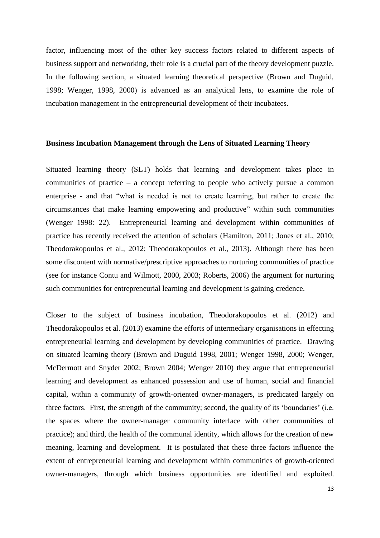factor, influencing most of the other key success factors related to different aspects of business support and networking, their role is a crucial part of the theory development puzzle. In the following section, a situated learning theoretical perspective (Brown and Duguid, 1998; Wenger, 1998, 2000) is advanced as an analytical lens, to examine the role of incubation management in the entrepreneurial development of their incubatees.

# **Business Incubation Management through the Lens of Situated Learning Theory**

Situated learning theory (SLT) holds that learning and development takes place in communities of practice – a concept referring to people who actively pursue a common enterprise - and that "what is needed is not to create learning, but rather to create the circumstances that make learning empowering and productive" within such communities (Wenger 1998: 22). Entrepreneurial learning and development within communities of practice has recently received the attention of scholars (Hamilton, 2011; Jones et al., 2010; Theodorakopoulos et al., 2012; Theodorakopoulos et al., 2013). Although there has been some discontent with normative/prescriptive approaches to nurturing communities of practice (see for instance Contu and Wilmott, 2000, 2003; Roberts, 2006) the argument for nurturing such communities for entrepreneurial learning and development is gaining credence.

Closer to the subject of business incubation, Theodorakopoulos et al. (2012) and Theodorakopoulos et al. (2013) examine the efforts of intermediary organisations in effecting entrepreneurial learning and development by developing communities of practice. Drawing on situated learning theory (Brown and Duguid 1998, 2001; Wenger 1998, 2000; Wenger, McDermott and Snyder 2002; Brown 2004; Wenger 2010) they argue that entrepreneurial learning and development as enhanced possession and use of human, social and financial capital, within a community of growth-oriented owner-managers, is predicated largely on three factors. First, the strength of the community; second, the quality of its 'boundaries' (i.e. the spaces where the owner-manager community interface with other communities of practice); and third, the health of the communal identity, which allows for the creation of new meaning, learning and development. It is postulated that these three factors influence the extent of entrepreneurial learning and development within communities of growth-oriented owner-managers, through which business opportunities are identified and exploited.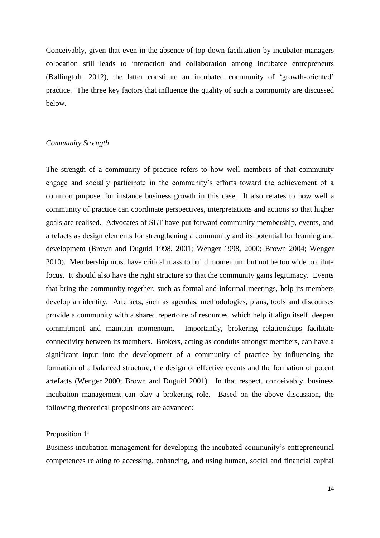Conceivably, given that even in the absence of top-down facilitation by incubator managers colocation still leads to interaction and collaboration among incubatee entrepreneurs (Bøllingtoft, 2012), the latter constitute an incubated community of 'growth-oriented' practice. The three key factors that influence the quality of such a community are discussed below.

# *Community Strength*

The strength of a community of practice refers to how well members of that community engage and socially participate in the community's efforts toward the achievement of a common purpose, for instance business growth in this case. It also relates to how well a community of practice can coordinate perspectives, interpretations and actions so that higher goals are realised. Advocates of SLT have put forward community membership, events, and artefacts as design elements for strengthening a community and its potential for learning and development (Brown and Duguid 1998, 2001; Wenger 1998, 2000; Brown 2004; Wenger 2010). Membership must have critical mass to build momentum but not be too wide to dilute focus. It should also have the right structure so that the community gains legitimacy. Events that bring the community together, such as formal and informal meetings, help its members develop an identity. Artefacts, such as agendas, methodologies, plans, tools and discourses provide a community with a shared repertoire of resources, which help it align itself, deepen commitment and maintain momentum. Importantly, brokering relationships facilitate connectivity between its members. Brokers, acting as conduits amongst members, can have a significant input into the development of a community of practice by influencing the formation of a balanced structure, the design of effective events and the formation of potent artefacts (Wenger 2000; Brown and Duguid 2001). In that respect, conceivably, business incubation management can play a brokering role. Based on the above discussion, the following theoretical propositions are advanced:

## Proposition 1:

Business incubation management for developing the incubated community's entrepreneurial competences relating to accessing, enhancing, and using human, social and financial capital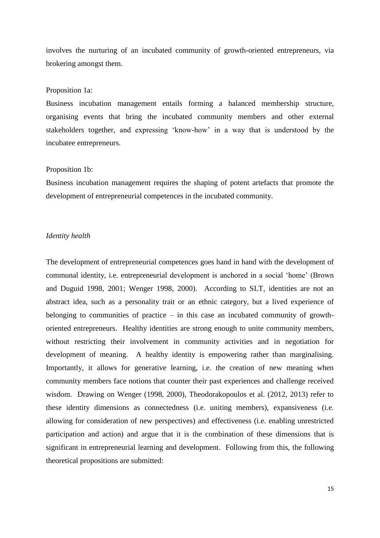involves the nurturing of an incubated community of growth-oriented entrepreneurs, via brokering amongst them.

#### Proposition 1a:

Business incubation management entails forming a balanced membership structure, organising events that bring the incubated community members and other external stakeholders together, and expressing 'know-how' in a way that is understood by the incubatee entrepreneurs.

#### Proposition 1b:

Business incubation management requires the shaping of potent artefacts that promote the development of entrepreneurial competences in the incubated community.

# *Identity health*

The development of entrepreneurial competences goes hand in hand with the development of communal identity, i.e. entrepreneurial development is anchored in a social 'home' (Brown and Duguid 1998, 2001; Wenger 1998, 2000). According to SLT, identities are not an abstract idea, such as a personality trait or an ethnic category, but a lived experience of belonging to communities of practice – in this case an incubated community of growthoriented entrepreneurs. Healthy identities are strong enough to unite community members, without restricting their involvement in community activities and in negotiation for development of meaning. A healthy identity is empowering rather than marginalising. Importantly, it allows for generative learning, i.e. the creation of new meaning when community members face notions that counter their past experiences and challenge received wisdom. Drawing on Wenger (1998, 2000), Theodorakopoulos et al. (2012, 2013) refer to these identity dimensions as connectedness (i.e. uniting members), expansiveness (i.e. allowing for consideration of new perspectives) and effectiveness (i.e. enabling unrestricted participation and action) and argue that it is the combination of these dimensions that is significant in entrepreneurial learning and development. Following from this, the following theoretical propositions are submitted: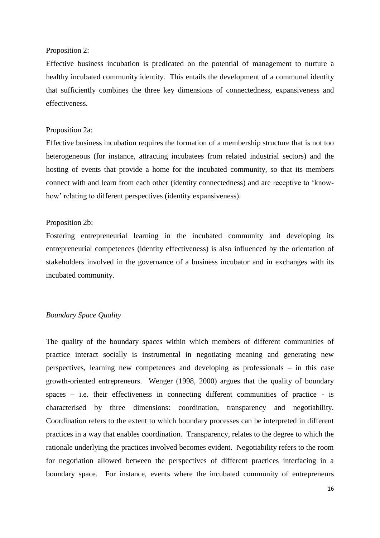#### Proposition 2:

Effective business incubation is predicated on the potential of management to nurture a healthy incubated community identity. This entails the development of a communal identity that sufficiently combines the three key dimensions of connectedness, expansiveness and effectiveness.

## Proposition 2a:

Effective business incubation requires the formation of a membership structure that is not too heterogeneous (for instance, attracting incubatees from related industrial sectors) and the hosting of events that provide a home for the incubated community, so that its members connect with and learn from each other (identity connectedness) and are receptive to 'knowhow' relating to different perspectives (identity expansiveness).

#### Proposition 2b:

Fostering entrepreneurial learning in the incubated community and developing its entrepreneurial competences (identity effectiveness) is also influenced by the orientation of stakeholders involved in the governance of a business incubator and in exchanges with its incubated community.

# *Boundary Space Quality*

The quality of the boundary spaces within which members of different communities of practice interact socially is instrumental in negotiating meaning and generating new perspectives, learning new competences and developing as professionals – in this case growth-oriented entrepreneurs. Wenger (1998, 2000) argues that the quality of boundary spaces – i.e. their effectiveness in connecting different communities of practice - is characterised by three dimensions: coordination, transparency and negotiability. Coordination refers to the extent to which boundary processes can be interpreted in different practices in a way that enables coordination. Transparency, relates to the degree to which the rationale underlying the practices involved becomes evident. Negotiability refers to the room for negotiation allowed between the perspectives of different practices interfacing in a boundary space. For instance, events where the incubated community of entrepreneurs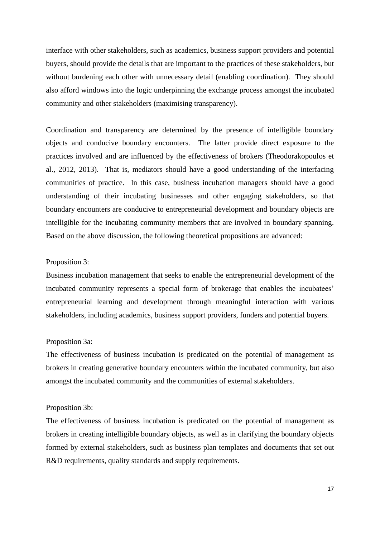interface with other stakeholders, such as academics, business support providers and potential buyers, should provide the details that are important to the practices of these stakeholders, but without burdening each other with unnecessary detail (enabling coordination). They should also afford windows into the logic underpinning the exchange process amongst the incubated community and other stakeholders (maximising transparency).

Coordination and transparency are determined by the presence of intelligible boundary objects and conducive boundary encounters. The latter provide direct exposure to the practices involved and are influenced by the effectiveness of brokers (Theodorakopoulos et al., 2012, 2013). That is, mediators should have a good understanding of the interfacing communities of practice. In this case, business incubation managers should have a good understanding of their incubating businesses and other engaging stakeholders, so that boundary encounters are conducive to entrepreneurial development and boundary objects are intelligible for the incubating community members that are involved in boundary spanning. Based on the above discussion, the following theoretical propositions are advanced:

# Proposition 3:

Business incubation management that seeks to enable the entrepreneurial development of the incubated community represents a special form of brokerage that enables the incubatees' entrepreneurial learning and development through meaningful interaction with various stakeholders, including academics, business support providers, funders and potential buyers.

## Proposition 3a:

The effectiveness of business incubation is predicated on the potential of management as brokers in creating generative boundary encounters within the incubated community, but also amongst the incubated community and the communities of external stakeholders.

#### Proposition 3b:

The effectiveness of business incubation is predicated on the potential of management as brokers in creating intelligible boundary objects, as well as in clarifying the boundary objects formed by external stakeholders, such as business plan templates and documents that set out R&D requirements, quality standards and supply requirements.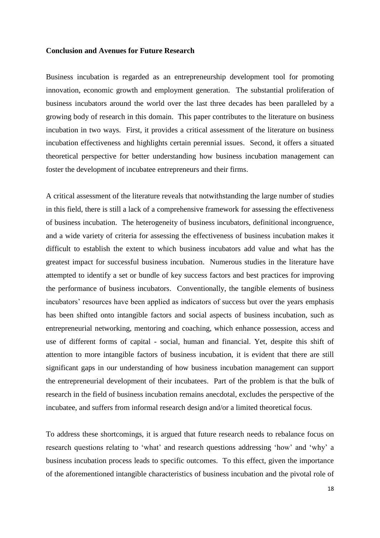#### **Conclusion and Avenues for Future Research**

Business incubation is regarded as an entrepreneurship development tool for promoting innovation, economic growth and employment generation. The substantial proliferation of business incubators around the world over the last three decades has been paralleled by a growing body of research in this domain. This paper contributes to the literature on business incubation in two ways. First, it provides a critical assessment of the literature on business incubation effectiveness and highlights certain perennial issues. Second, it offers a situated theoretical perspective for better understanding how business incubation management can foster the development of incubatee entrepreneurs and their firms.

A critical assessment of the literature reveals that notwithstanding the large number of studies in this field, there is still a lack of a comprehensive framework for assessing the effectiveness of business incubation. The heterogeneity of business incubators, definitional incongruence, and a wide variety of criteria for assessing the effectiveness of business incubation makes it difficult to establish the extent to which business incubators add value and what has the greatest impact for successful business incubation. Numerous studies in the literature have attempted to identify a set or bundle of key success factors and best practices for improving the performance of business incubators. Conventionally, the tangible elements of business incubators' resources have been applied as indicators of success but over the years emphasis has been shifted onto intangible factors and social aspects of business incubation, such as entrepreneurial networking, mentoring and coaching, which enhance possession, access and use of different forms of capital - social, human and financial. Yet, despite this shift of attention to more intangible factors of business incubation, it is evident that there are still significant gaps in our understanding of how business incubation management can support the entrepreneurial development of their incubatees. Part of the problem is that the bulk of research in the field of business incubation remains anecdotal, excludes the perspective of the incubatee, and suffers from informal research design and/or a limited theoretical focus.

To address these shortcomings, it is argued that future research needs to rebalance focus on research questions relating to 'what' and research questions addressing 'how' and 'why' a business incubation process leads to specific outcomes. To this effect, given the importance of the aforementioned intangible characteristics of business incubation and the pivotal role of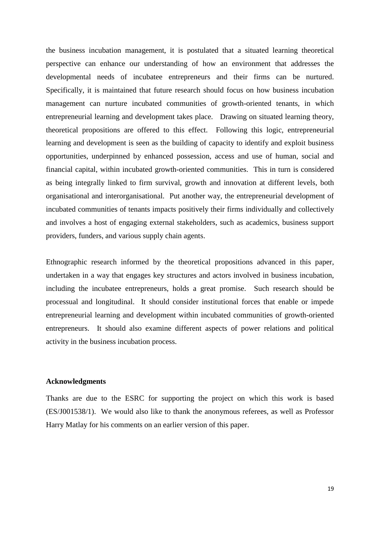the business incubation management, it is postulated that a situated learning theoretical perspective can enhance our understanding of how an environment that addresses the developmental needs of incubatee entrepreneurs and their firms can be nurtured. Specifically, it is maintained that future research should focus on how business incubation management can nurture incubated communities of growth-oriented tenants, in which entrepreneurial learning and development takes place. Drawing on situated learning theory, theoretical propositions are offered to this effect. Following this logic, entrepreneurial learning and development is seen as the building of capacity to identify and exploit business opportunities, underpinned by enhanced possession, access and use of human, social and financial capital, within incubated growth-oriented communities. This in turn is considered as being integrally linked to firm survival, growth and innovation at different levels, both organisational and interorganisational. Put another way, the entrepreneurial development of incubated communities of tenants impacts positively their firms individually and collectively and involves a host of engaging external stakeholders, such as academics, business support providers, funders, and various supply chain agents.

Ethnographic research informed by the theoretical propositions advanced in this paper, undertaken in a way that engages key structures and actors involved in business incubation, including the incubatee entrepreneurs, holds a great promise. Such research should be processual and longitudinal. It should consider institutional forces that enable or impede entrepreneurial learning and development within incubated communities of growth-oriented entrepreneurs. It should also examine different aspects of power relations and political activity in the business incubation process.

# **Acknowledgments**

Thanks are due to the ESRC for supporting the project on which this work is based (ES/J001538/1). We would also like to thank the anonymous referees, as well as Professor Harry Matlay for his comments on an earlier version of this paper.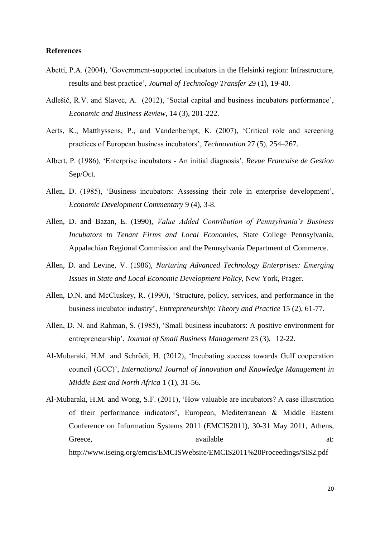# **References**

- Abetti, P.A. (2004), 'Government-supported incubators in the Helsinki region: Infrastructure, results and best practice', *Journal of Technology Transfer* 29 (1), 19-40.
- Adlešič, R.V. and Slavec, A. (2012), 'Social capital and business incubators performance', *Economic and Business Review*, 14 (3), 201-222.
- Aerts, K., Matthyssens, P., and Vandenbempt, K. (2007), 'Critical role and screening practices of European business incubators', *Technovation* 27 (5), 254–267.
- Albert, P. (1986), 'Enterprise incubators An initial diagnosis', *Revue Francaise de Gestion* Sep/Oct.
- Allen, D. (1985), 'Business incubators: Assessing their role in enterprise development', *Economic Development Commentary* 9 (4), 3-8.
- Allen, D. and Bazan, E. (1990), *Value Added Contribution of Pennsylvania's Business Incubators to Tenant Firms and Local Economies*, State College Pennsylvania, Appalachian Regional Commission and the Pennsylvania Department of Commerce.
- Allen, D. and Levine, V. (1986), *Nurturing Advanced Technology Enterprises: Emerging Issues in State and Local Economic Development Policy*, New York, Prager.
- Allen, D.N. and McCluskey, R. (1990), 'Structure, policy, services, and performance in the business incubator industry', *Entrepreneurship: Theory and Practice* 15 (2), 61-77.
- Allen, D. N. and Rahman, S. (1985), 'Small business incubators: A positive environment for entrepreneurship', *Journal of Small Business Management* 23 (3), 12-22.
- Al-Mubaraki, H.M. and Schrödi, H. (2012), 'Incubating success towards Gulf cooperation council (GCC)', *International Journal of Innovation and Knowledge Management in Middle East and North Africa* 1 (1), 31-56.
- Al-Mubaraki, H.M. and Wong, S.F. (2011), 'How valuable are incubators? A case illustration of their performance indicators', European, Mediterranean & Middle Eastern Conference on Information Systems 2011 (EMCIS2011), 30-31 May 2011, Athens, Greece, available at: <http://www.iseing.org/emcis/EMCISWebsite/EMCIS2011%20Proceedings/SIS2.pdf>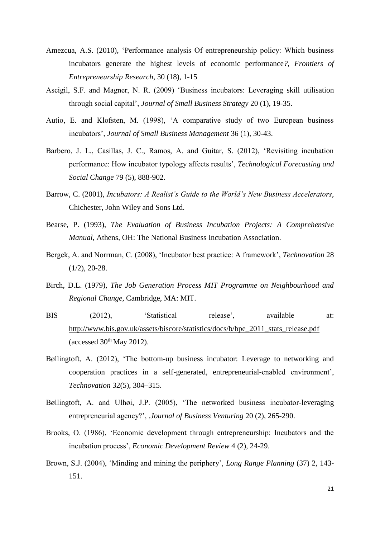- Amezcua, A.S. (2010), 'Performance analysis Of entrepreneurship policy: Which business incubators generate the highest levels of economic performance*?, Frontiers of Entrepreneurship Research*, 30 (18), 1-15
- Ascigil, S.F. and Magner, N. R. (2009) 'Business incubators: Leveraging skill utilisation through social capital', *Journal of Small Business Strategy* 20 (1), 19-35.
- Autio, E. and Klofsten, M. (1998), 'A comparative study of two European business incubators', *Journal of Small Business Management* 36 (1), 30-43.
- Barbero, J. L., Casillas, J. C., Ramos, A. and Guitar, S. (2012), 'Revisiting incubation performance: How incubator typology affects results', *Technological Forecasting and Social Change* 79 (5), 888-902.
- Barrow, C. (2001), *Incubators: A Realist's Guide to the World's New Business Accelerators*, Chichester, John Wiley and Sons Ltd.
- Bearse, P. (1993), *The Evaluation of Business Incubation Projects: A Comprehensive Manual*, Athens, OH: The National Business Incubation Association.
- Bergek, A. and Norrman, C. (2008), 'Incubator best practice: A framework', *Technovation* 28  $(1/2)$ , 20-28.
- Birch, D.L. (1979), *The Job Generation Process MIT Programme on Neighbourhood and Regional Change*, Cambridge, MA: MIT.
- BIS (2012), 'Statistical release', available at: [http://www.bis.gov.uk/assets/biscore/statistics/docs/b/bpe\\_2011\\_stats\\_release.pdf](http://www.bis.gov.uk/assets/biscore/statistics/docs/b/bpe_2011_stats_release.pdf) (accessed  $30<sup>th</sup>$  May 2012).
- Bøllingtoft, A. (2012), 'The bottom-up business incubator: Leverage to networking and cooperation practices in a self-generated, entrepreneurial-enabled environment', *Technovation* 32(5), 304–315.
- Bøllingtoft, A. and Ulhøi, J.P. (2005), 'The networked business incubator-leveraging entrepreneurial agency?', ,*Journal of Business Venturing* 20 (2), 265-290.
- Brooks, O. (1986), 'Economic development through entrepreneurship: Incubators and the incubation process', *Economic Development Review* 4 (2), 24-29.
- Brown, S.J. (2004), 'Minding and mining the periphery', *Long Range Planning* (37) 2, 143- 151.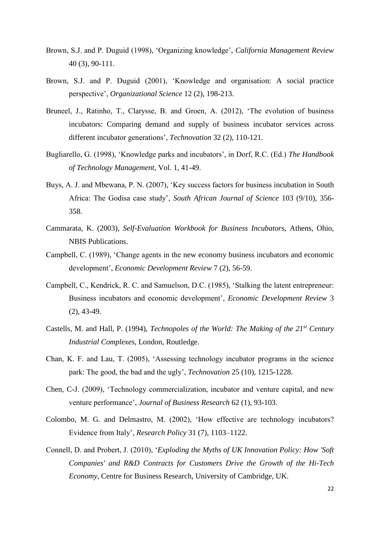- Brown, S.J. and P. Duguid (1998), 'Organizing knowledge', *California Management Review*  40 (3), 90-111.
- Brown, S.J. and P. Duguid (2001), 'Knowledge and organisation: A social practice perspective', *Organizational Science* 12 (2), 198-213.
- Bruneel, J., Ratinho, T., Clarysse, B. and Groen, A. (2012), 'The evolution of business incubators: Comparing demand and supply of business incubator services across different incubator generations', *Technovation* 32 (2), 110-121.
- Bugliarello, G. (1998), 'Knowledge parks and incubators', in Dorf, R.C. (Ed.) *The Handbook of Technology Management*, Vol. 1, 41-49.
- Buys, A. J. and Mbewana, P. N. (2007), 'Key success factors for business incubation in South Africa: The Godisa case study', *South African Journal of Science* 103 (9/10), 356- 358.
- Cammarata, K. (2003), *Self-Evaluation Workbook for Business Incubator*s, Athens, Ohio, NBIS Publications.
- Campbell, C. (1989), 'Change agents in the new economy business incubators and economic development', *Economic Development Review* 7 (2), 56-59.
- Campbell, C., Kendrick, R. C. and Samuelson, D.C. (1985), 'Stalking the latent entrepreneur: Business incubators and economic development', *Economic Development Review* 3 (2), 43-49.
- Castells, M. and Hall, P. (1994), *Technopoles of the World: The Making of the 21st Century Industrial Complexes*, London, Routledge.
- Chan, K. F. and Lau, T. (2005), 'Assessing technology incubator programs in the science park: The good, the bad and the ugly', *Technovation* 25 (10), 1215-1228.
- Chen, C-J. (2009), 'Technology commercialization, incubator and venture capital, and new venture performance', *Journal of Business Research* 62 (1), 93-103.
- Colombo, M. G. and Delmastro, M. (2002), 'How effective are technology incubators? Evidence from Italy', *Research Policy* 31 (7), 1103–1122.
- Connell, D. and Probert, J. (2010), '*Exploding the Myths of UK Innovation Policy: How 'Soft Companies' and R&D Contracts for Customers Drive the Growth of the Hi-Tech Economy*, Centre for Business Research, University of Cambridge, UK.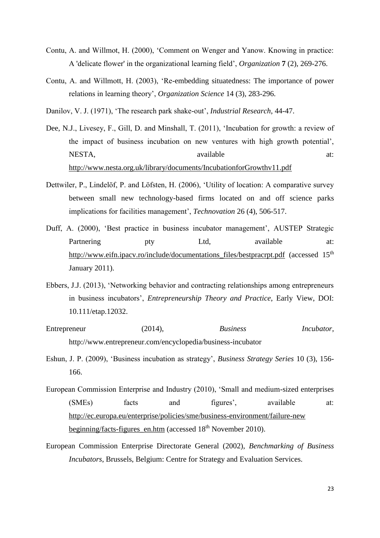- Contu, A. and Willmot, H. (2000), 'Comment on Wenger and Yanow. Knowing in practice: A 'delicate flower' in the organizational learning field', *Organization* **7** (2), 269-276.
- Contu, A. and Willmott, H. (2003), 'Re-embedding situatedness: The importance of power relations in learning theory', *Organization Science* 14 (3), 283-296.
- Danilov, V. J. (1971), 'The research park shake-out', *Industrial Research*, 44-47.
- Dee, N.J., Livesey, F., Gill, D. and Minshall, T. (2011), 'Incubation for growth: a review of the impact of business incubation on new ventures with high growth potential', NESTA, available at:  $\alpha$  available <http://www.nesta.org.uk/library/documents/IncubationforGrowthv11.pdf>
- Dettwiler, P., Lindelöf, P. and Löfsten, H. (2006), 'Utility of location: A comparative survey between small new technology-based firms located on and off science parks implications for facilities management', *Technovation* 26 (4), 506-517.
- Duff, A. (2000), 'Best practice in business incubator management', AUSTEP Strategic Partnering pty by Ltd, available at: [http://www.eifn.ipacv.ro/include/documentations\\_files/bestpracrpt.pdf](http://www.eifn.ipacv.ro/include/documentations_files/bestpracrpt.pdf) (accessed 15<sup>th</sup>) January 2011).
- Ebbers, J.J. (2013), 'Networking behavior and contracting relationships among entrepreneurs in business incubators', *Entrepreneurship Theory and Practice*, Early View, DOI: 10.111/etap.12032.
- Entrepreneur (2014), *Business Incubator*, http://www.entrepreneur.com/encyclopedia/business-incubator
- Eshun, J. P. (2009), 'Business incubation as strategy', *Business Strategy Series* 10 (3), 156- 166.
- European Commission Enterprise and Industry (2010), 'Small and medium-sized enterprises (SMEs) facts and figures', available at: [http://ec.europa.eu/enterprise/policies/sme/business-environment/failure-new](http://ec.europa.eu/enterprise/policies/sme/business-environment/failure-new%20beginning/facts-figures_en.htm)  [beginning/facts-figures\\_en.htm](http://ec.europa.eu/enterprise/policies/sme/business-environment/failure-new%20beginning/facts-figures_en.htm) (accessed 18<sup>th</sup> November 2010).
- European Commission Enterprise Directorate General (2002), *Benchmarking of Business Incubators*, Brussels, Belgium: Centre for Strategy and Evaluation Services.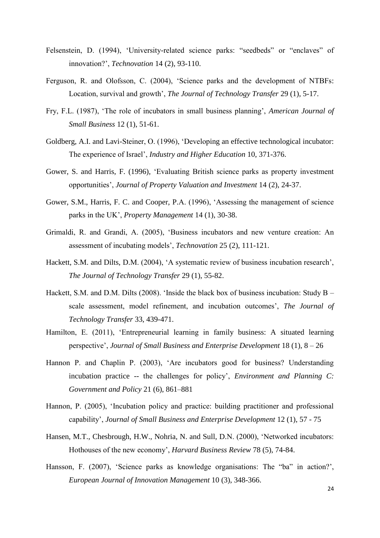- Felsenstein, D. (1994), 'University-related science parks: "seedbeds" or "enclaves" of innovation?', *Technovation* 14 (2), 93-110.
- Ferguson, R. and Olofsson, C. (2004), 'Science parks and the development of NTBFs: Location, survival and growth', *The Journal of Technology Transfer* 29 (1), 5-17.
- Fry, F.L. (1987), 'The role of incubators in small business planning', *American Journal of Small Business* 12 (1), 51-61.
- Goldberg, A.I. and Lavi-Steiner, O. (1996), 'Developing an effective technological incubator: The experience of Israel', *Industry and Higher Education* 10, 371-376.
- Gower, S. and Harris, F. (1996), 'Evaluating British science parks as property investment opportunities', *Journal of Property Valuation and Investment* 14 (2), 24-37.
- Gower, S.M., Harris, F. C. and Cooper, P.A. (1996), 'Assessing the management of science parks in the UK', *Property Management* 14 (1), 30-38.
- Grimaldi, R. and Grandi, A. (2005), 'Business incubators and new venture creation: An assessment of incubating models', *Technovation* 25 (2), 111-121.
- Hackett, S.M. and Dilts, D.M. (2004), 'A systematic review of business incubation research', *The Journal of Technology Transfer* 29 (1), 55-82.
- Hackett, S.M. and D.M. Dilts (2008). 'Inside the black box of business incubation: Study  $B$ scale assessment, model refinement, and incubation outcomes', *The Journal of Technology Transfer* 33, 439-471.
- Hamilton, E. (2011), 'Entrepreneurial learning in family business: A situated learning perspective', *Journal of Small Business and Enterprise Development* 18 (1), 8 – 26
- Hannon P. and Chaplin P. (2003), 'Are incubators good for business? Understanding incubation practice -- the challenges for policy', *Environment and Planning C: Government and Policy* 21 (6), 861–881
- Hannon, P. (2005), 'Incubation policy and practice: building practitioner and professional capability', *Journal of Small Business and Enterprise Development* 12 (1), 57 - 75
- Hansen, M.T., Chesbrough, H.W., Nohria, N. and Sull, D.N. (2000), 'Networked incubators: Hothouses of the new economy', *Harvard Business Review* 78 (5), 74-84.
- Hansson, F. (2007), 'Science parks as knowledge organisations: The "ba" in action?', *European Journal of Innovation Management* 10 (3), 348-366.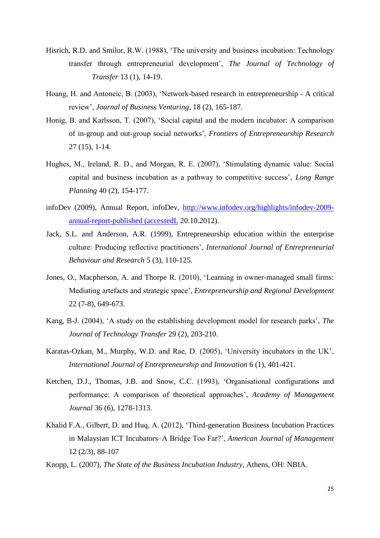- Hisrich, R.D. and Smilor, R.W. (1988), 'The university and business incubation: Technology transfer through entrepreneurial development', *The Journal of Technology of Transfer* 13 (1), 14-19.
- Hoang, H. and Antoncic, B. (2003), 'Network-based research in entrepreneurship A critical review', *Journal of Business Venturing,* 18 (2), 165-187.
- Honig, B. and Karlsson, T. (2007), 'Social capital and the modern incubator: A comparison of in-group and out-group social networks', *Frontiers of Entrepreneurship Research*  27 (15), 1-14.
- Hughes, M., Ireland, R. D., and Morgan, R. E. (2007), 'Stimulating dynamic value: Social capital and business incubation as a pathway to competitive success', *Long Range Planning* 40 (2), 154-177.
- infoDev (2009), Annual Report, infoDev, [http://www.infodev.org/highlights/infodev-2009](http://www.infodev.org/highlights/infodev-2009-annual-report-published%20(accessedL) [annual-report-published \(accessedL](http://www.infodev.org/highlights/infodev-2009-annual-report-published%20(accessedL) 20.10.2012).
- Jack, S.L. and Anderson, A.R. (1999), Entrepreneurship education within the enterprise culture: Producing reflective practitioners', *International Journal of Entrepreneurial Behaviour and Research* 5 (3), 110-125.
- Jones, O., Macpherson, A. and Thorpe R. (2010), 'Learning in owner-managed small firms: Mediating artefacts and strategic space', *Entrepreneurship and Regional Development* 22 (7-8), 649-673.
- Kang, B-J. (2004), 'A study on the establishing development model for research parks', *The Journal of Technology Transfer* 29 (2), 203-210.
- Karatas-Ozkan, M., Murphy, W.D. and Rae, D. (2005), 'University incubators in the UK', *International Journal of Entrepreneurship and Innovation* 6 (1), 401-421.
- Ketchen, D.J., Thomas, J.B. and Snow, C.C. (1993), 'Organisational configurations and performance: A comparison of theoretical approaches', *Academy of Management Journal* 36 (6), 1278-1313.
- Khalid F.A., Gilbert, D. and Huq, A. (2012), 'Third-generation Business Incubation Practices in Malaysian ICT Incubators–A Bridge Too Far?', *American Journal of Management* 12 (2/3), 88-107
- Knopp, L. (2007), *The State of the Business Incubation Industry*, Athens, OH: NBIA.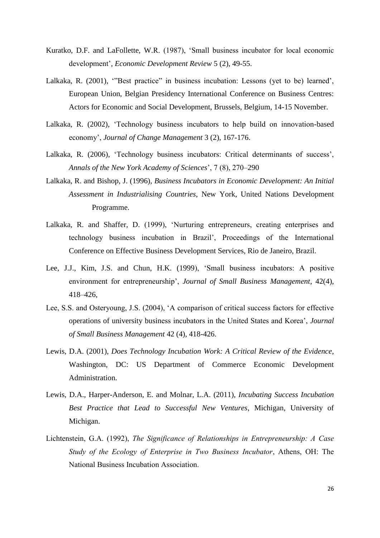- Kuratko, D.F. and LaFollette, W.R. (1987), 'Small business incubator for local economic development'*, Economic Development Review* 5 (2), 49-55.
- Lalkaka, R. (2001), '"Best practice" in business incubation: Lessons (yet to be) learned', European Union, Belgian Presidency International Conference on Business Centres: Actors for Economic and Social Development, Brussels, Belgium, 14-15 November.
- Lalkaka, R. (2002), 'Technology business incubators to help build on innovation-based economy', *Journal of Change Management* 3 (2), 167-176.
- Lalkaka, R. (2006), 'Technology business incubators: Critical determinants of success', *Annals of the New York Academy of Sciences*', 7 (8), 270–290
- Lalkaka, R. and Bishop, J. (1996), *Business Incubators in Economic Development: An Initial Assessment in Industrialising Countries*, New York, United Nations Development Programme.
- Lalkaka, R. and Shaffer, D. (1999), 'Nurturing entrepreneurs, creating enterprises and technology business incubation in Brazil', Proceedings of the International Conference on Effective Business Development Services, Rio de Janeiro, Brazil.
- Lee, J.J., Kim, J.S. and Chun, H.K. (1999), 'Small business incubators: A positive environment for entrepreneurship', *Journal of Small Business Management*, 42(4), 418–426,
- Lee, S.S. and Osteryoung, J.S. (2004), 'A comparison of critical success factors for effective operations of university business incubators in the United States and Korea', *Journal of Small Business Management* 42 (4), 418-426.
- Lewis, D.A. (2001), *Does Technology Incubation Work: A Critical Review of the Evidence*, Washington, DC: US Department of Commerce Economic Development Administration.
- Lewis, D.A., Harper-Anderson, E. and Molnar, L.A. (2011), *Incubating Success Incubation Best Practice that Lead to Successful New Ventures*, Michigan, University of Michigan.
- Lichtenstein, G.A. (1992), *The Significance of Relationships in Entrepreneurship: A Case Study of the Ecology of Enterprise in Two Business Incubator*, Athens, OH: The National Business Incubation Association.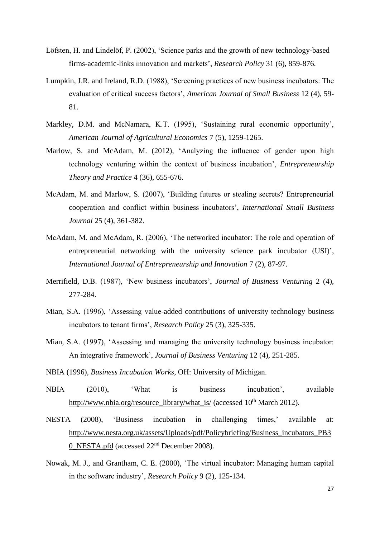- Löfsten, H. and Lindelöf, P. (2002), 'Science parks and the growth of new technology-based firms-academic-links innovation and markets', *Research Policy* 31 (6), 859-876.
- Lumpkin, J.R. and Ireland, R.D. (1988), 'Screening practices of new business incubators: The evaluation of critical success factors', *American Journal of Small Business* 12 (4), 59- 81.
- Markley, D.M. and McNamara, K.T. (1995), 'Sustaining rural economic opportunity', *American Journal of Agricultural Economics* 7 (5), 1259-1265.
- Marlow, S. and McAdam, M. (2012), 'Analyzing the influence of gender upon high technology venturing within the context of business incubation', *Entrepreneurship Theory and Practice* 4 (36), 655-676.
- McAdam, M. and Marlow, S. (2007), 'Building futures or stealing secrets? Entrepreneurial cooperation and conflict within business incubators', *International Small Business Journal* 25 (4), 361-382.
- McAdam, M. and McAdam, R. (2006), 'The networked incubator: The role and operation of entrepreneurial networking with the university science park incubator (USI)', *International Journal of Entrepreneurship and Innovation* 7 (2), 87-97.
- Merrifield, D.B. (1987), 'New business incubators', *Journal of Business Venturing* 2 (4), 277-284.
- Mian, S.A. (1996), 'Assessing value-added contributions of university technology business incubators to tenant firms', *Research Policy* 25 (3), 325-335.
- Mian, S.A. (1997), 'Assessing and managing the university technology business incubator: An integrative framework', *Journal of Business Venturing* 12 (4), 251-285.
- NBIA (1996), *Business Incubation Works*, OH: University of Michigan.
- NBIA (2010), 'What is business incubation', available [http://www.nbia.org/resource\\_library/what\\_is/](http://www.nbia.org/resource_library/what_is/) (accessed  $10^{th}$  March 2012).
- NESTA (2008), 'Business incubation in challenging times,' available at: [http://www.nesta.org.uk/assets/Uploads/pdf/Policybriefing/Business\\_incubators\\_PB3](http://www.nesta.org.uk/assets/Uploads/pdf/Policybriefing/Business_incubators_PB30_NESTA.pfd) [0\\_NESTA.pfd](http://www.nesta.org.uk/assets/Uploads/pdf/Policybriefing/Business_incubators_PB30_NESTA.pfd) (accessed 22nd December 2008).
- Nowak, M. J., and Grantham, C. E. (2000), 'The virtual incubator: Managing human capital in the software industry', *Research Policy* 9 (2), 125-134.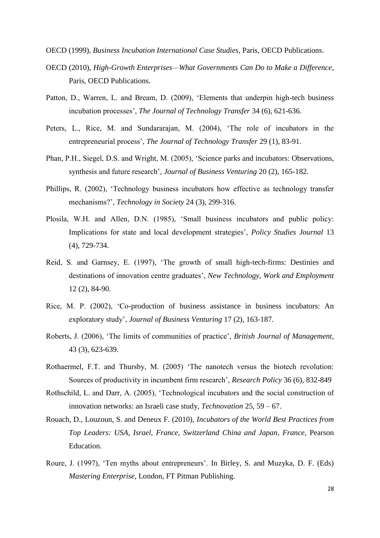OECD (1999), *Business Incubation International Case Studies*, Paris, OECD Publications.

- OECD (2010), *High-Growth Enterprises—What Governments Can Do to Make a Difference*, Paris, OECD Publications.
- Patton, D., Warren, L. and Bream, D. (2009), 'Elements that underpin high-tech business incubation processes', *The Journal of Technology Transfer* 34 (6), 621-636.
- Peters, L., Rice, M. and Sundararajan, M. (2004), 'The role of incubators in the entrepreneurial process', *The Journal of Technology Transfer* 29 (1), 83-91.
- Phan, P.H., Siegel, D.S. and Wright, M. (2005), 'Science parks and incubators: Observations, synthesis and future research'*, Journal of Business Venturing* 20 (2), 165-182.
- Phillips, R. (2002), 'Technology business incubators how effective as technology transfer mechanisms?', *Technology in Society* 24 (3), 299-316.
- Plosila, W.H. and Allen, D.N. (1985), 'Small business incubators and public policy: Implications for state and local development strategies', *Policy Studies Journal* 13 (4), 729-734.
- Reid, S. and Garnsey, E. (1997), 'The growth of small high-tech-firms: Destinies and destinations of innovation centre graduates', *New Technology, Work and Employment* 12 (2), 84-90.
- Rice, M. P. (2002), 'Co-production of business assistance in business incubators: An exploratory study', *Journal of Business Venturing* 17 (2), 163-187.
- Roberts, J. (2006), 'The limits of communities of practice', *British Journal of Management*, 43 (3), 623-639.
- Rothaermel, F.T. and Thursby, M. (2005) 'The nanotech versus the biotech revolution: Sources of productivity in incumbent firm research', *Research Policy* 36 (6), 832-849
- Rothschild, L. and Darr, A. (2005), 'Technological incubators and the social construction of innovation networks: an Israeli case study, *Technovation* 25, 59 – 67.
- Rouach, D., Louzoun, S. and Deneux F. (2010), *Incubators of the World Best Practices from Top Leaders: USA, Israel, France, Switzerland China and Japan*, *France*, Pearson Education.
- Roure, J. (1997), 'Ten myths about entrepreneurs'. In Birley, S. and Muzyka, D. F. (Eds) *Mastering Enterprise*, London, FT Pitman Publishing.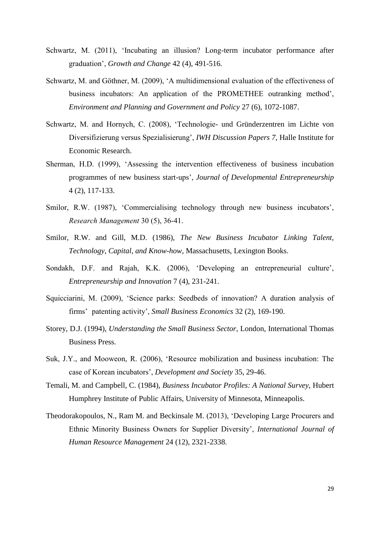- Schwartz, M. (2011), 'Incubating an illusion? Long-term incubator performance after graduation', *Growth and Change* 42 (4), 491-516.
- Schwartz, M. and Göthner, M. (2009), 'A multidimensional evaluation of the effectiveness of business incubators: An application of the PROMETHEE outranking method', *Environment and Planning and Government and Policy* 27 (6), 1072-1087.
- Schwartz, M. and Hornych, C. (2008), 'Technologie- und Gründerzentren im Lichte von Diversifizierung versus Spezialisierung', *IWH Discussion Papers 7*, Halle Institute for Economic Research.
- Sherman, H.D. (1999), 'Assessing the intervention effectiveness of business incubation programmes of new business start-ups', *Journal of Developmental Entrepreneurship*  4 (2), 117-133.
- Smilor, R.W. (1987), 'Commercialising technology through new business incubators', *Research Management* 30 (5), 36-41.
- Smilor, R.W. and Gill, M.D. (1986), *The New Business Incubator Linking Talent, Technology, Capital, and Know-how*, Massachusetts, Lexington Books.
- Sondakh, D.F. and Rajah, K.K. (2006), 'Developing an entrepreneurial culture', *Entrepreneurship and Innovation* 7 (4), 231-241.
- Squicciarini, M. (2009), 'Science parks: Seedbeds of innovation? A duration analysis of firms' patenting activity', *Small Business Economics* 32 (2), 169-190.
- Storey, D.J. (1994), *Understanding the Small Business Sector*, London, International Thomas Business Press.
- Suk, J.Y., and Mooweon, R. (2006), 'Resource mobilization and business incubation: The case of Korean incubators', *Development and Society* 35, 29-46.
- Temali, M. and Campbell, C. (1984), *Business Incubator Profiles: A National Survey*, Hubert Humphrey Institute of Public Affairs, University of Minnesota, Minneapolis.
- Theodorakopoulos, N., Ram M. and Beckinsale M. (2013), 'Developing Large Procurers and Ethnic Minority Business Owners for Supplier Diversity', *International Journal of Human Resource Management* 24 (12), 2321-2338.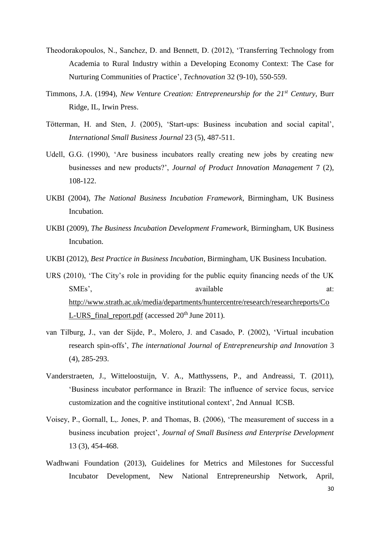- Theodorakopoulos, N., Sanchez, D. and Bennett, D. (2012), 'Transferring Technology from Academia to Rural Industry within a Developing Economy Context: The Case for Nurturing Communities of Practice', *Technovation* 32 (9-10), 550-559.
- Timmons, J.A. (1994), *New Venture Creation: Entrepreneurship for the 21st Century*, Burr Ridge, IL, Irwin Press.
- Tötterman, H. and Sten, J. (2005), 'Start-ups: Business incubation and social capital', *International Small Business Journal* 23 (5), 487-511.
- Udell, G.G. (1990), 'Are business incubators really creating new jobs by creating new businesses and new products?', *Journal of Product Innovation Management* 7 (2), 108-122.
- UKBI (2004), *The National Business Incubation Framework*, Birmingham, UK Business Incubation.
- UKBI (2009), *The Business Incubation Development Framework*, Birmingham, UK Business Incubation.
- UKBI (2012), *Best Practice in Business Incubation*, Birmingham, UK Business Incubation.
- URS (2010), 'The City's role in providing for the public equity financing needs of the UK SMEs', available at: [http://www.strath.ac.uk/media/departments/huntercentre/research/researchreports/Co](http://www.strath.ac.uk/media/departments/huntercentre/research/researchreports/CoL-URS_final_report.pdf) L-URS final report.pdf (accessed  $20<sup>th</sup>$  June 2011).
- van Tilburg, J., van der Sijde, P., Molero, J. and Casado, P. (2002), 'Virtual incubation research spin-offs', *The international Journal of Entrepreneurship and Innovation* 3 (4), 285-293.
- Vanderstraeten, J., Witteloostuijn, V. A., Matthyssens, P., and Andreassi, T. (2011), 'Business incubator performance in Brazil: The influence of service focus, service customization and the cognitive institutional context', 2nd Annual ICSB.
- Voisey, P., Gornall, L,. Jones, P. and Thomas, B. (2006), 'The measurement of success in a business incubation project', *Journal of Small Business and Enterprise Development* 13 (3), 454-468.
- Wadhwani Foundation (2013), Guidelines for Metrics and Milestones for Successful Incubator Development, New National Entrepreneurship Network, April,